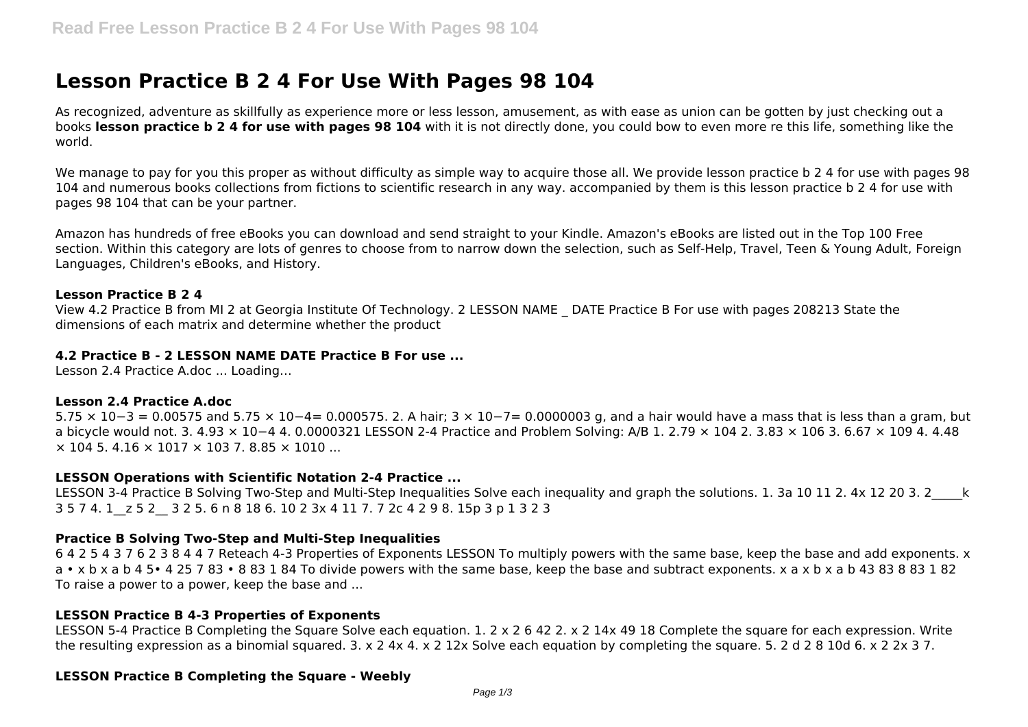# **Lesson Practice B 2 4 For Use With Pages 98 104**

As recognized, adventure as skillfully as experience more or less lesson, amusement, as with ease as union can be gotten by just checking out a books **lesson practice b 2 4 for use with pages 98 104** with it is not directly done, you could bow to even more re this life, something like the world.

We manage to pay for you this proper as without difficulty as simple way to acquire those all. We provide lesson practice b 2 4 for use with pages 98 104 and numerous books collections from fictions to scientific research in any way. accompanied by them is this lesson practice b 2 4 for use with pages 98 104 that can be your partner.

Amazon has hundreds of free eBooks you can download and send straight to your Kindle. Amazon's eBooks are listed out in the Top 100 Free section. Within this category are lots of genres to choose from to narrow down the selection, such as Self-Help, Travel, Teen & Young Adult, Foreign Languages, Children's eBooks, and History.

## **Lesson Practice B 2 4**

View 4.2 Practice B from MI 2 at Georgia Institute Of Technology. 2 LESSON NAME \_ DATE Practice B For use with pages 208213 State the dimensions of each matrix and determine whether the product

## **4.2 Practice B - 2 LESSON NAME DATE Practice B For use ...**

Lesson 2.4 Practice A.doc ... Loading…

## **Lesson 2.4 Practice A.doc**

5.75 × 10−3 = 0.00575 and 5.75 × 10−4= 0.000575. 2. A hair; 3 × 10−7= 0.0000003 g, and a hair would have a mass that is less than a gram, but a bicycle would not. 3. 4.93 × 10−4 4. 0.0000321 LESSON 2-4 Practice and Problem Solving: A/B 1. 2.79 × 104 2. 3.83 × 106 3. 6.67 × 109 4. 4.48  $\times$  104 5, 4.16  $\times$  1017  $\times$  103 7, 8.85  $\times$  1010 ...

## **LESSON Operations with Scientific Notation 2-4 Practice ...**

LESSON 3-4 Practice B Solving Two-Step and Multi-Step Inequalities Solve each inequality and graph the solutions. 1, 3a 10 11 2, 4x 12 20 3, 2 k 3 5 7 4. 1\_\_z 5 2\_\_ 3 2 5. 6 n 8 18 6. 10 2 3x 4 11 7. 7 2c 4 2 9 8. 15p 3 p 1 3 2 3

## **Practice B Solving Two-Step and Multi-Step Inequalities**

6 4 2 5 4 3 7 6 2 3 8 4 4 7 Reteach 4-3 Properties of Exponents LESSON To multiply powers with the same base, keep the base and add exponents. x a • x b x a b 4 5• 4 25 7 83 • 8 83 1 84 To divide powers with the same base, keep the base and subtract exponents. x a x b x a b 43 83 8 83 1 82 To raise a power to a power, keep the base and ...

## **LESSON Practice B 4-3 Properties of Exponents**

LESSON 5-4 Practice B Completing the Square Solve each equation. 1. 2 x 2 6 42 2. x 2 14x 49 18 Complete the square for each expression. Write the resulting expression as a binomial squared. 3. x 2 4x 4. x 2 12x Solve each equation by completing the square. 5. 2 d 2 8 10d 6. x 2 2x 3 7.

## **LESSON Practice B Completing the Square - Weebly**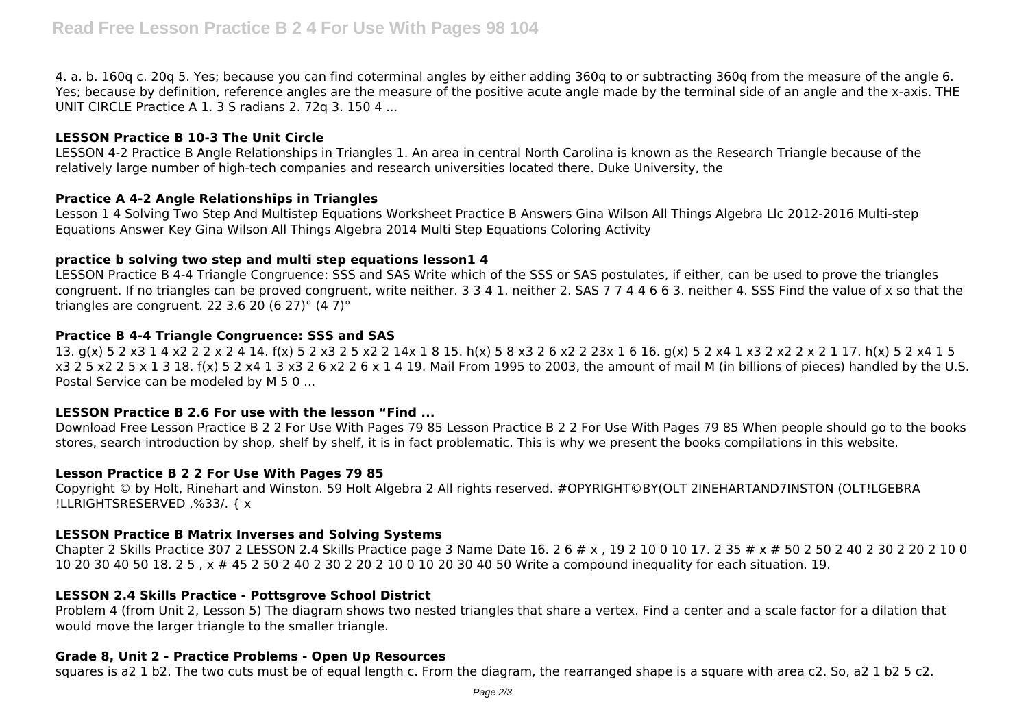4. a. b. 160q c. 20q 5. Yes; because you can find coterminal angles by either adding 360q to or subtracting 360q from the measure of the angle 6. Yes; because by definition, reference angles are the measure of the positive acute angle made by the terminal side of an angle and the x-axis. THE UNIT CIRCLE Practice A 1. 3 S radians 2. 72q 3. 150 4 ...

## **LESSON Practice B 10-3 The Unit Circle**

LESSON 4-2 Practice B Angle Relationships in Triangles 1. An area in central North Carolina is known as the Research Triangle because of the relatively large number of high-tech companies and research universities located there. Duke University, the

## **Practice A 4-2 Angle Relationships in Triangles**

Lesson 1 4 Solving Two Step And Multistep Equations Worksheet Practice B Answers Gina Wilson All Things Algebra Llc 2012-2016 Multi-step Equations Answer Key Gina Wilson All Things Algebra 2014 Multi Step Equations Coloring Activity

## **practice b solving two step and multi step equations lesson1 4**

LESSON Practice B 4-4 Triangle Congruence: SSS and SAS Write which of the SSS or SAS postulates, if either, can be used to prove the triangles congruent. If no triangles can be proved congruent, write neither. 3 3 4 1. neither 2. SAS 7 7 4 4 6 6 3. neither 4. SSS Find the value of x so that the triangles are congruent. 22 3.6 20 (6 27) $^{\circ}$  (4 7) $^{\circ}$ 

# **Practice B 4-4 Triangle Congruence: SSS and SAS**

13. g(x) 5 2 x3 1 4 x2 2 2 x 2 4 14. f(x) 5 2 x3 2 5 x2 2 14x 1 8 15. h(x) 5 8 x3 2 6 x2 2 23x 1 6 16. g(x) 5 2 x4 1 x3 2 x2 2 x 2 1 17. h(x) 5 2 x4 1 5 x3 2 5 x2 2 5 x 1 3 18. f(x) 5 2 x4 1 3 x3 2 6 x2 2 6 x 1 4 19. Mail From 1995 to 2003, the amount of mail M (in billions of pieces) handled by the U.S. Postal Service can be modeled by M 5 0 ...

## **LESSON Practice B 2.6 For use with the lesson "Find ...**

Download Free Lesson Practice B 2 2 For Use With Pages 79 85 Lesson Practice B 2 2 For Use With Pages 79 85 When people should go to the books stores, search introduction by shop, shelf by shelf, it is in fact problematic. This is why we present the books compilations in this website.

## **Lesson Practice B 2 2 For Use With Pages 79 85**

Copyright © by Holt, Rinehart and Winston. 59 Holt Algebra 2 All rights reserved. #OPYRIGHT©BY(OLT 2INEHARTAND7INSTON (OLT!LGEBRA !LLRIGHTSRESERVED ,%33/. { x

## **LESSON Practice B Matrix Inverses and Solving Systems**

Chapter 2 Skills Practice 307 2 LESSON 2.4 Skills Practice page 3 Name Date 16, 2 6 # x , 19 2 10 0 10 17, 2 35 # x # 50 2 50 2 40 2 30 2 20 2 10 0 10 20 30 40 50 18. 2 5 , x # 45 2 50 2 40 2 30 2 20 2 10 0 10 20 30 40 50 Write a compound inequality for each situation. 19.

## **LESSON 2.4 Skills Practice - Pottsgrove School District**

Problem 4 (from Unit 2, Lesson 5) The diagram shows two nested triangles that share a vertex. Find a center and a scale factor for a dilation that would move the larger triangle to the smaller triangle.

## **Grade 8, Unit 2 - Practice Problems - Open Up Resources**

squares is a2 1 b2. The two cuts must be of equal length c. From the diagram, the rearranged shape is a square with area c2. So, a2 1 b2 5 c2.